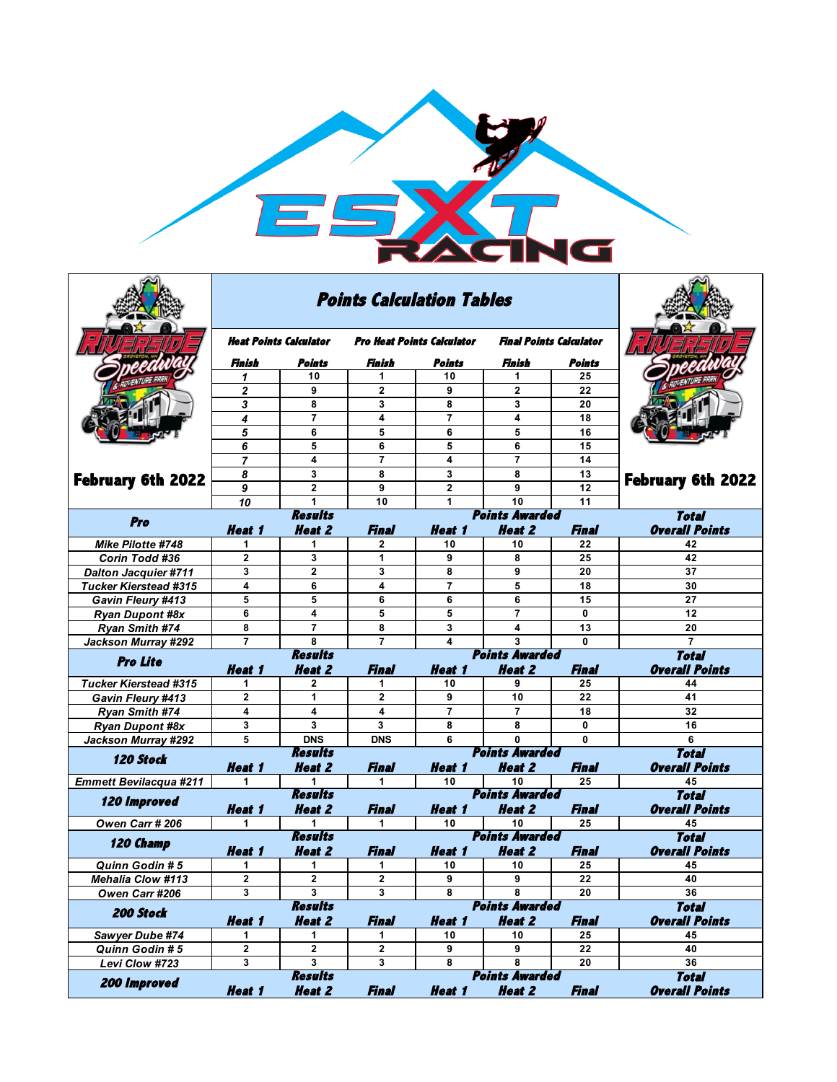

|                               |                         | <b>Points Calculation Tables</b> |                                   |                         |                                        |              |                                       |
|-------------------------------|-------------------------|----------------------------------|-----------------------------------|-------------------------|----------------------------------------|--------------|---------------------------------------|
|                               | Heat Points Calculator  |                                  | <b>Pro Heat Points Calculator</b> |                         | <b>Final Points Calculator</b>         |              |                                       |
|                               | Finish                  | Points                           | Finish                            | Points                  | Finish                                 | Points       |                                       |
|                               | 1                       | 10                               | 1                                 | 10                      | 1                                      | 25           |                                       |
|                               | 2                       | 9                                | $\mathbf{2}$                      | 9                       | $\mathbf{2}$                           | 22           |                                       |
|                               | 3                       | 8                                | 3                                 | 8                       | 3                                      | 20           |                                       |
|                               | 4                       | $\overline{7}$                   | 4                                 | $\overline{7}$          | 4                                      | 18           |                                       |
|                               | 5                       | 6                                | 5                                 | 6                       | 5                                      | 16           |                                       |
|                               | 6                       | 5                                | 6                                 | 5                       | 6                                      | 15           |                                       |
|                               | $\overline{7}$          | 4                                | $\overline{7}$                    | 4                       | $\overline{7}$                         | 14           |                                       |
|                               | 8                       | 3                                | 8                                 | 3                       | 8                                      | 13           |                                       |
| <b>February 6th 2022</b>      | 9                       | $\overline{\mathbf{2}}$          | 9                                 | $\overline{\mathbf{2}}$ | 9                                      | 12           | <b>February 6th 2022</b>              |
|                               | 10                      | 1                                | 10                                | 1                       | 10                                     | 11           |                                       |
| Pro                           |                         | <b>Results</b>                   |                                   |                         | <b>Points Awarded</b>                  |              | Total                                 |
|                               | <b>Heat 1</b>           | <b>Heat 2</b>                    | Final                             | <b>Heat 1</b>           | <b>Heat 2</b>                          | Final        | <b>Overall Points</b>                 |
| Mike Pilotte #748             | 1                       | 1                                | $\mathbf{2}$                      | 10                      | 10                                     | 22           | 42                                    |
| Corin Todd #36                | $\mathbf{2}$            | 3                                | 1                                 | 9                       | 8                                      | 25           | 42                                    |
| <b>Dalton Jacquier #711</b>   | 3                       | $\mathbf{2}$                     | 3                                 | 8                       | 9                                      | 20           | 37                                    |
| <b>Tucker Kierstead #315</b>  | $\overline{\mathbf{4}}$ | 6                                | 4                                 | $\overline{7}$          | 5                                      | 18           | 30                                    |
| <b>Gavin Fleury #413</b>      | 5                       | 5                                | 6                                 | 6                       | 6                                      | 15           | 27                                    |
| <b>Ryan Dupont #8x</b>        | 6                       | 4                                | 5                                 | 5                       | $\overline{7}$                         | 0            | 12                                    |
| Ryan Smith #74                | 8                       | $\overline{7}$                   | 8                                 | 3                       | 4                                      | 13           | 20                                    |
| Jackson Murray #292           | $\overline{7}$          | 8                                | $\overline{7}$                    | 4                       | 3                                      | 0            | $\overline{7}$                        |
| <b>Pro Lite</b>               |                         | <b>Results</b>                   |                                   |                         | <b>Points Awarded</b>                  | <b>Total</b> |                                       |
|                               | Heat 1                  | <b>Heat 2</b>                    | Final                             | <b>Heat 1</b>           | <b>Heat 2</b>                          | Final        | <b>Overall Points</b>                 |
| <b>Tucker Kierstead #315</b>  |                         | $\mathbf{2}$                     | 1                                 | 10                      | 9                                      | 25           | 44                                    |
| Gavin Fleury #413             | $\mathbf{2}$            | 1                                | $\mathbf{2}$                      | 9                       | 10                                     | 22           | 41                                    |
| <b>Ryan Smith #74</b>         | 4                       | 4                                | 4                                 | $\overline{7}$          | $\overline{7}$                         | 18           | 32                                    |
| <b>Ryan Dupont #8x</b>        | 3                       | 3                                | 3                                 | 8                       | 8                                      | $\bf{0}$     | 16                                    |
| Jackson Murray #292           | 5                       | <b>DNS</b>                       | <b>DNS</b>                        | 6                       | $\mathbf{0}$                           | 0            | 6                                     |
| 120 Stock                     |                         | <b>Results</b>                   |                                   |                         | <b>Points Awarded</b>                  |              | <b>Total</b>                          |
|                               | <b>Heat 1</b>           | <b>Heat 2</b>                    | Final                             | <b>Heat 1</b>           | <b>Heat 2</b>                          | Final        | <b>Overall Points</b>                 |
| <b>Emmett Bevilacqua #211</b> | 1.                      | 1<br><b>Results</b>              | 1.                                | 10                      | 10<br><b>Points Awarded</b>            | 25           | 45<br><b>Total</b>                    |
| 120 Improved                  | <b>Heat 1</b>           | <b>Heat 2</b>                    | Final                             | <b>Heat 1</b>           | <b>Heat 2</b>                          | Final        | <b>Overall Points</b>                 |
| Owen Carr # 206               | 1                       | 1                                | 1.                                | 10                      | 10                                     | 25           | 45                                    |
|                               |                         | <b>Results</b>                   |                                   |                         | <b>Points Awarded</b>                  |              | <b>Total</b>                          |
| 120 Champ                     | <b>Heat 1</b>           | <b>Heat 2</b>                    | <b>Final</b>                      | <b>Heat 1</b>           | <b>Heat 2</b>                          | Final        | <b>Overall Points</b>                 |
| Quinn Godin # 5               | 1                       | 1                                | 1                                 | 10                      | 10                                     | 25           | 45                                    |
| <b>Mehalia Clow #113</b>      | $\mathbf{2}$            | $\mathbf{2}$                     | $\mathbf{2}$                      | 9                       | 9                                      | 22           | 40                                    |
| Owen Carr #206                | 3                       | 3                                | 3                                 | 8                       | 8                                      | 20           | 36                                    |
| 200 Stock                     |                         | <b>Results</b>                   |                                   |                         | <b>Points Awarded</b>                  |              | <b>Total</b>                          |
|                               | <b>Heat 1</b>           | <b>Heat 2</b>                    | <b>Final</b>                      | <b>Heat 1</b>           | <b>Heat 2</b>                          | Final        | <b>Overall Points</b>                 |
| Sawyer Dube #74               | 1                       | 1                                | 1                                 | 10                      | 10                                     | 25           | 45                                    |
| Quinn Godin # 5               | 2                       | 2                                | $\mathbf{2}$                      | 9                       | 9                                      | 22           | 40                                    |
| Levi Clow #723                | 3                       | 3                                | 3                                 | 8                       | 8                                      | 20           | 36                                    |
| 200 Improved                  | <b>Heat 1</b>           | <b>Results</b><br><b>Heat 2</b>  | <b>Final</b>                      | <b>Heat 1</b>           | <b>Points Awarded</b><br><b>Heat 2</b> | <b>Final</b> | <b>Total</b><br><b>Overall Points</b> |